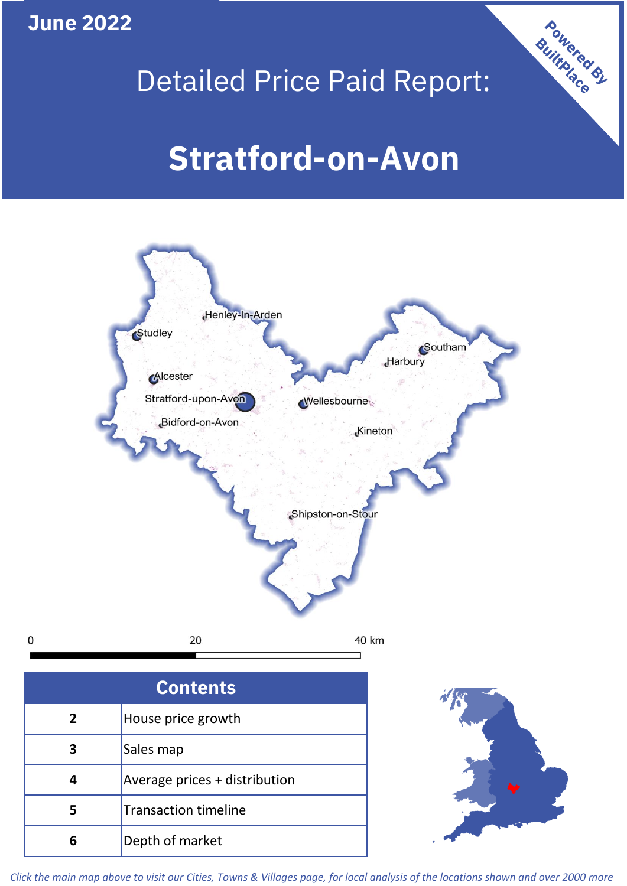**June 2022**

 $\mathbf 0$ 

## Detailed Price Paid Report:

# **Stratford-on-Avon**



| <b>Contents</b> |                               |  |  |  |
|-----------------|-------------------------------|--|--|--|
| $\overline{2}$  | House price growth            |  |  |  |
| 3               | Sales map                     |  |  |  |
|                 | Average prices + distribution |  |  |  |
|                 | <b>Transaction timeline</b>   |  |  |  |
|                 | Depth of market               |  |  |  |



Powered By

*Click the main map above to visit our Cities, Towns & Villages page, for local analysis of the locations shown and over 2000 more*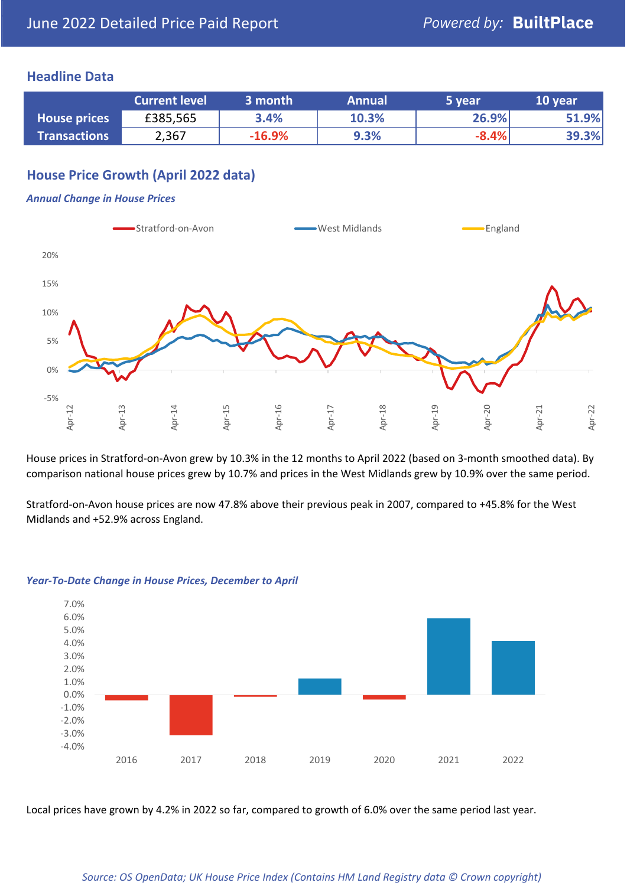### **Headline Data**

|                     | <b>Current level</b> | 3 month  | <b>Annual</b> | 5 year  | 10 year |
|---------------------|----------------------|----------|---------------|---------|---------|
| <b>House prices</b> | £385,565             | 3.4%     | 10.3%         | 26.9%   | 51.9%   |
| <b>Transactions</b> | 2,367                | $-16.9%$ | 9.3%          | $-8.4%$ | 39.3%   |

## **House Price Growth (April 2022 data)**

#### *Annual Change in House Prices*



House prices in Stratford-on-Avon grew by 10.3% in the 12 months to April 2022 (based on 3-month smoothed data). By comparison national house prices grew by 10.7% and prices in the West Midlands grew by 10.9% over the same period.

Stratford-on-Avon house prices are now 47.8% above their previous peak in 2007, compared to +45.8% for the West Midlands and +52.9% across England.



#### *Year-To-Date Change in House Prices, December to April*

Local prices have grown by 4.2% in 2022 so far, compared to growth of 6.0% over the same period last year.

#### *Source: OS OpenData; UK House Price Index (Contains HM Land Registry data © Crown copyright)*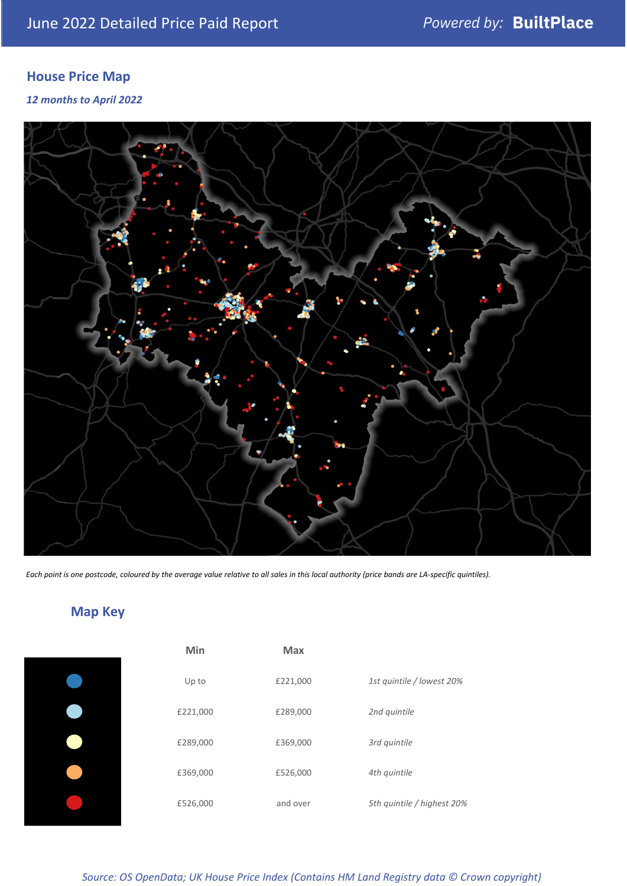## **House Price Map**

*12 months to April 2022*



*Each point is one postcode, coloured by the average value relative to all sales in this local authority (price bands are LA-specific quintiles).*

## **Map Key**

| Min      |
|----------|
| Up to    |
| £221,000 |
| £289,000 |
| £369,000 |
| £526,000 |
|          |

| Min      | <b>Max</b> |                            |
|----------|------------|----------------------------|
| Up to    | £221,000   | 1st quintile / lowest 20%  |
| £221,000 | £289,000   | 2nd quintile               |
| £289,000 | £369,000   | 3rd quintile               |
| £369,000 | £526,000   | 4th quintile               |
| £526,000 | and over   | 5th quintile / highest 20% |

*Source: OS OpenData; UK House Price Index (Contains HM Land Registry data © Crown copyright)*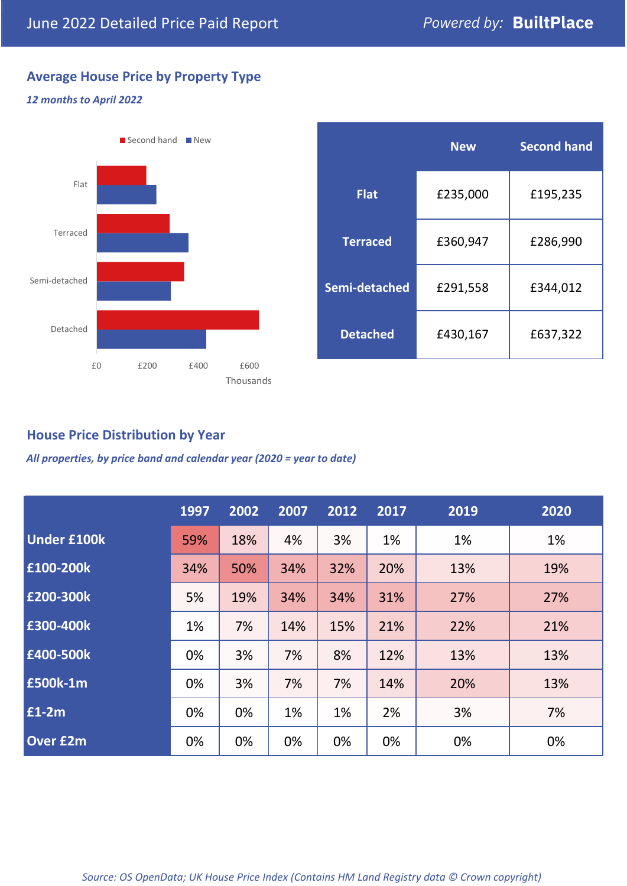## **Average House Price by Property Type**

### *12 months to April 2022*



|                 | <b>New</b> | <b>Second hand</b> |  |  |
|-----------------|------------|--------------------|--|--|
| <b>Flat</b>     | £235,000   | £195,235           |  |  |
| <b>Terraced</b> | £360,947   | £286,990           |  |  |
| Semi-detached   | £291,558   | £344,012           |  |  |
| <b>Detached</b> | £430,167   | £637,322           |  |  |

## **House Price Distribution by Year**

*All properties, by price band and calendar year (2020 = year to date)*

|                    | 1997 | 2002 | 2007 | 2012 | 2017 | 2019 | 2020 |
|--------------------|------|------|------|------|------|------|------|
| <b>Under £100k</b> | 59%  | 18%  | 4%   | 3%   | 1%   | 1%   | 1%   |
| £100-200k          | 34%  | 50%  | 34%  | 32%  | 20%  | 13%  | 19%  |
| E200-300k          | 5%   | 19%  | 34%  | 34%  | 31%  | 27%  | 27%  |
| £300-400k          | 1%   | 7%   | 14%  | 15%  | 21%  | 22%  | 21%  |
| £400-500k          | 0%   | 3%   | 7%   | 8%   | 12%  | 13%  | 13%  |
| <b>£500k-1m</b>    | 0%   | 3%   | 7%   | 7%   | 14%  | 20%  | 13%  |
| £1-2m              | 0%   | 0%   | 1%   | 1%   | 2%   | 3%   | 7%   |
| <b>Over £2m</b>    | 0%   | 0%   | 0%   | 0%   | 0%   | 0%   | 0%   |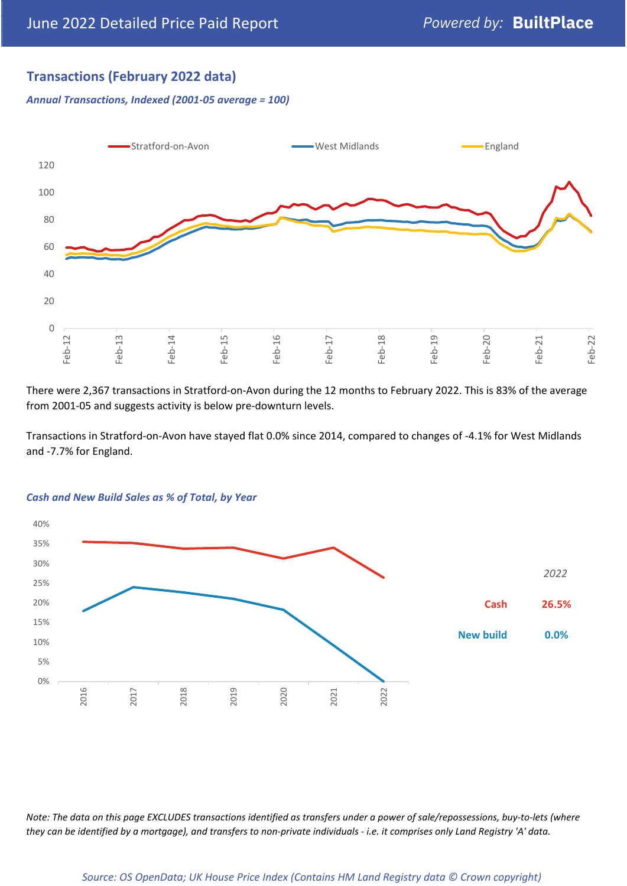## **Transactions (February 2022 data)**

*Annual Transactions, Indexed (2001-05 average = 100)*



There were 2,367 transactions in Stratford-on-Avon during the 12 months to February 2022. This is 83% of the average from 2001-05 and suggests activity is below pre-downturn levels.

Transactions in Stratford-on-Avon have stayed flat 0.0% since 2014, compared to changes of -4.1% for West Midlands and -7.7% for England.



#### *Cash and New Build Sales as % of Total, by Year*

*Note: The data on this page EXCLUDES transactions identified as transfers under a power of sale/repossessions, buy-to-lets (where they can be identified by a mortgage), and transfers to non-private individuals - i.e. it comprises only Land Registry 'A' data.*